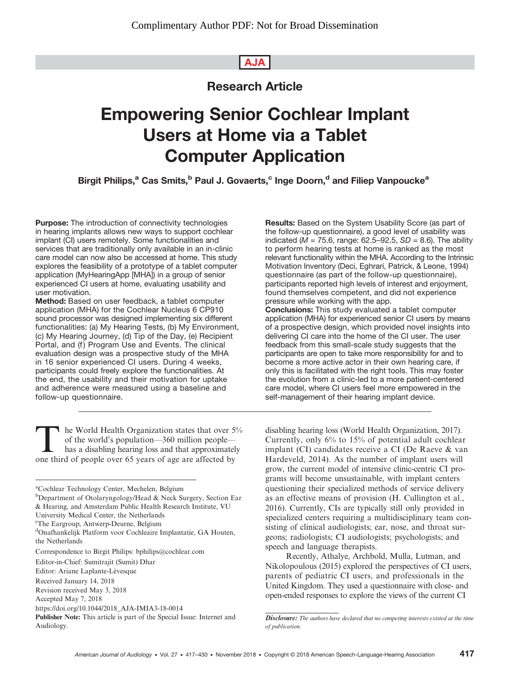# AJA

# Research Article

# Empowering Senior Cochlear Implant Users at Home via a Tablet Computer Application

Birgit Philips,<sup>a</sup> Cas Smits,<sup>b</sup> Paul J. Govaerts,<sup>c</sup> Inge Doorn,<sup>d</sup> and Filiep Vanpoucke<sup>a</sup>

Purpose: The introduction of connectivity technologies in hearing implants allows new ways to support cochlear implant (CI) users remotely. Some functionalities and services that are traditionally only available in an in-clinic care model can now also be accessed at home. This study explores the feasibility of a prototype of a tablet computer application (MyHearingApp [MHA]) in a group of senior experienced CI users at home, evaluating usability and user motivation.

Method: Based on user feedback, a tablet computer application (MHA) for the Cochlear Nucleus 6 CP910 sound processor was designed implementing six different functionalities: (a) My Hearing Tests, (b) My Environment, (c) My Hearing Journey, (d) Tip of the Day, (e) Recipient Portal, and (f) Program Use and Events. The clinical evaluation design was a prospective study of the MHA in 16 senior experienced CI users. During 4 weeks, participants could freely explore the functionalities. At the end, the usability and their motivation for uptake and adherence were measured using a baseline and follow-up questionnaire.

The World Health Organization states that over  $5\%$ <br>of the world's population—360 million people—<br>has a disabling hearing loss and that approximately<br>one third of people over 65 years of age are affected by of the world's population—360 million people has a disabling hearing loss and that approximately one third of people over 65 years of age are affected by

- <sup>b</sup>Department of Otolaryngology/Head & Neck Surgery, Section Ear & Hearing, and Amsterdam Public Health Research Institute, VU
- University Medical Center, the Netherlands c The Eargroup, Antwerp-Deurne, Belgium

Results: Based on the System Usability Score (as part of the follow-up questionnaire), a good level of usability was indicated ( $M = 75.6$ , range: 62.5–92.5, SD = 8.6). The ability to perform hearing tests at home is ranked as the most relevant functionality within the MHA. According to the Intrinsic Motivation Inventory (Deci, Eghrari, Patrick, & Leone, 1994) questionnaire (as part of the follow-up questionnaire), participants reported high levels of interest and enjoyment, found themselves competent, and did not experience pressure while working with the app. Conclusions: This study evaluated a tablet computer

application (MHA) for experienced senior CI users by means of a prospective design, which provided novel insights into delivering CI care into the home of the CI user. The user feedback from this small-scale study suggests that the participants are open to take more responsibility for and to become a more active actor in their own hearing care, if only this is facilitated with the right tools. This may foster the evolution from a clinic-led to a more patient-centered care model, where CI users feel more empowered in the self-management of their hearing implant device.

disabling hearing loss (World Health Organization, 2017). Currently, only 6% to 15% of potential adult cochlear implant (CI) candidates receive a CI (De Raeve & van Hardeveld, 2014). As the number of implant users will grow, the current model of intensive clinic-centric CI programs will become unsustainable, with implant centers questioning their specialized methods of service delivery as an effective means of provision (H. Cullington et al., 2016). Currently, CIs are typically still only provided in specialized centers requiring a multidisciplinary team consisting of clinical audiologists; ear, nose, and throat surgeons; radiologists; CI audiologists; psychologists; and speech and language therapists.

Recently, Athalye, Archbold, Mulla, Lutman, and Nikolopoulous (2015) explored the perspectives of CI users, parents of pediatric CI users, and professionals in the United Kingdom. They used a questionnaire with close- and open-ended responses to explore the views of the current CI

a Cochlear Technology Center, Mechelen, Belgium

d Onafhankelijk Platform voor Cochleaire Implantatie, GA Houten, the Netherlands

Correspondence to Birgit Philips: bphilips@cochlear.com

Editor-in-Chief: Sumitrajit (Sumit) Dhar

Editor: Ariane Laplante-Lévesque

Received January 14, 2018

Revision received May 3, 2018 Accepted May 7, 2018

[https://doi.org/10.1044/2018\\_AJA-IMIA3-18-0014](https://doi.org/10.1044/2018_AJA-IMIA3-18-0014)

Publisher Note: This article is part of the Special Issue: Internet and Audiology.

Disclosure: The authors have declared that no competing interests existed at the time of publication.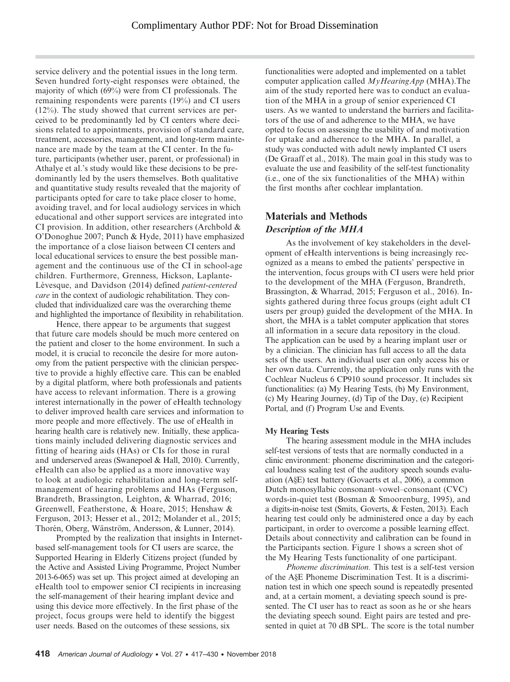service delivery and the potential issues in the long term. Seven hundred forty-eight responses were obtained, the majority of which (69%) were from CI professionals. The remaining respondents were parents (19%) and CI users (12%). The study showed that current services are perceived to be predominantly led by CI centers where decisions related to appointments, provision of standard care, treatment, accessories, management, and long-term maintenance are made by the team at the CI center. In the future, participants (whether user, parent, or professional) in Athalye et al.'s study would like these decisions to be predominantly led by the users themselves. Both qualitative and quantitative study results revealed that the majority of participants opted for care to take place closer to home, avoiding travel, and for local audiology services in which educational and other support services are integrated into CI provision. In addition, other researchers (Archbold & O'Donoghue 2007; Punch & Hyde, 2011) have emphasized the importance of a close liaison between CI centers and local educational services to ensure the best possible management and the continuous use of the CI in school-age children. Furthermore, Grenness, Hickson, Laplante-Lévesque, and Davidson (2014) defined patient-centered care in the context of audiologic rehabilitation. They concluded that individualized care was the overarching theme and highlighted the importance of flexibility in rehabilitation.

Hence, there appear to be arguments that suggest that future care models should be much more centered on the patient and closer to the home environment. In such a model, it is crucial to reconcile the desire for more autonomy from the patient perspective with the clinician perspective to provide a highly effective care. This can be enabled by a digital platform, where both professionals and patients have access to relevant information. There is a growing interest internationally in the power of eHealth technology to deliver improved health care services and information to more people and more effectively. The use of eHealth in hearing health care is relatively new. Initially, these applications mainly included delivering diagnostic services and fitting of hearing aids (HAs) or CIs for those in rural and underserved areas (Swanepoel & Hall, 2010). Currently, eHealth can also be applied as a more innovative way to look at audiologic rehabilitation and long-term selfmanagement of hearing problems and HAs (Ferguson, Brandreth, Brassington, Leighton, & Wharrad, 2016; Greenwell, Featherstone, & Hoare, 2015; Henshaw & Ferguson, 2013; Hesser et al., 2012; Molander et al., 2015; Thorén, Oberg, Wänström, Andersson, & Lunner, 2014).

Prompted by the realization that insights in Internetbased self-management tools for CI users are scarce, the Supported Hearing in Elderly Citizens project (funded by the Active and Assisted Living Programme, Project Number 2013-6-065) was set up. This project aimed at developing an eHealth tool to empower senior CI recipients in increasing the self-management of their hearing implant device and using this device more effectively. In the first phase of the project, focus groups were held to identify the biggest user needs. Based on the outcomes of these sessions, six

functionalities were adopted and implemented on a tablet computer application called  $MyHearingApp$  (MHA). The aim of the study reported here was to conduct an evaluation of the MHA in a group of senior experienced CI users. As we wanted to understand the barriers and facilitators of the use of and adherence to the MHA, we have opted to focus on assessing the usability of and motivation for uptake and adherence to the MHA. In parallel, a study was conducted with adult newly implanted CI users (De Graaff et al., 2018). The main goal in this study was to evaluate the use and feasibility of the self-test functionality (i.e., one of the six functionalities of the MHA) within the first months after cochlear implantation.

## Materials and Methods Description of the MHA

As the involvement of key stakeholders in the development of eHealth interventions is being increasingly recognized as a means to embed the patients' perspective in the intervention, focus groups with CI users were held prior to the development of the MHA (Ferguson, Brandreth, Brassington, & Wharrad, 2015; Ferguson et al., 2016). Insights gathered during three focus groups (eight adult CI users per group) guided the development of the MHA. In short, the MHA is a tablet computer application that stores all information in a secure data repository in the cloud. The application can be used by a hearing implant user or by a clinician. The clinician has full access to all the data sets of the users. An individual user can only access his or her own data. Currently, the application only runs with the Cochlear Nucleus 6 CP910 sound processor. It includes six functionalities: (a) My Hearing Tests, (b) My Environment, (c) My Hearing Journey, (d) Tip of the Day, (e) Recipient Portal, and (f) Program Use and Events.

## My Hearing Tests

The hearing assessment module in the MHA includes self-test versions of tests that are normally conducted in a clinic environment: phoneme discrimination and the categorical loudness scaling test of the auditory speech sounds evaluation (A§E) test battery (Govaerts et al., 2006), a common Dutch monosyllabic consonant–vowel–consonant (CVC) words-in-quiet test (Bosman & Smoorenburg, 1995), and a digits-in-noise test (Smits, Goverts, & Festen, 2013). Each hearing test could only be administered once a day by each participant, in order to overcome a possible learning effect. Details about connectivity and calibration can be found in the Participants section. Figure 1 shows a screen shot of the My Hearing Tests functionality of one participant.

Phoneme discrimination. This test is a self-test version of the A§E Phoneme Discrimination Test. It is a discrimination test in which one speech sound is repeatedly presented and, at a certain moment, a deviating speech sound is presented. The CI user has to react as soon as he or she hears the deviating speech sound. Eight pairs are tested and presented in quiet at 70 dB SPL. The score is the total number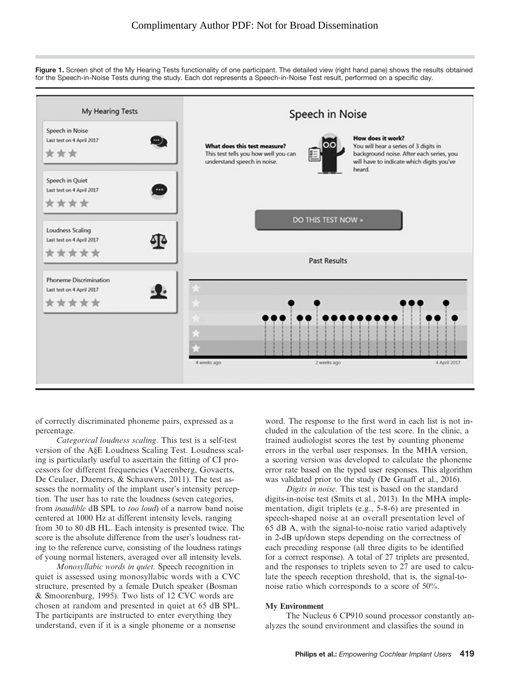Figure 1. Screen shot of the My Hearing Tests functionality of one participant. The detailed view (right hand pane) shows the results obtained for the Speech-in-Noise Tests during the study. Each dot represents a Speech-in-Noise Test result, performed on a specific day.



of correctly discriminated phoneme pairs, expressed as a percentage.

Categorical loudness scaling. This test is a self-test version of the A§E Loudness Scaling Test. Loudness scaling is particularly useful to ascertain the fitting of CI processors for different frequencies (Vaerenberg, Govaerts, De Ceulaer, Daemers, & Schauwers, 2011). The test assesses the normality of the implant user's intensity perception. The user has to rate the loudness (seven categories, from inaudible dB SPL to too loud) of a narrow band noise centered at 1000 Hz at different intensity levels, ranging from 30 to 80 dB HL. Each intensity is presented twice. The score is the absolute difference from the user's loudness rating to the reference curve, consisting of the loudness ratings of young normal listeners, averaged over all intensity levels.

Monosyllabic words in quiet. Speech recognition in quiet is assessed using monosyllabic words with a CVC structure, presented by a female Dutch speaker (Bosman & Smoorenburg, 1995). Two lists of 12 CVC words are chosen at random and presented in quiet at 65 dB SPL. The participants are instructed to enter everything they understand, even if it is a single phoneme or a nonsense

word. The response to the first word in each list is not included in the calculation of the test score. In the clinic, a trained audiologist scores the test by counting phoneme errors in the verbal user responses. In the MHA version, a scoring version was developed to calculate the phoneme error rate based on the typed user responses. This algorithm was validated prior to the study (De Graaff et al., 2016).

Digits in noise. This test is based on the standard digits-in-noise test (Smits et al., 2013). In the MHA implementation, digit triplets (e.g., 5-8-6) are presented in speech-shaped noise at an overall presentation level of 65 dB A, with the signal-to-noise ratio varied adaptively in 2-dB up/down steps depending on the correctness of each preceding response (all three digits to be identified for a correct response). A total of 27 triplets are presented, and the responses to triplets seven to 27 are used to calculate the speech reception threshold, that is, the signal-tonoise ratio which corresponds to a score of 50%.

#### My Environment

The Nucleus 6 CP910 sound processor constantly analyzes the sound environment and classifies the sound in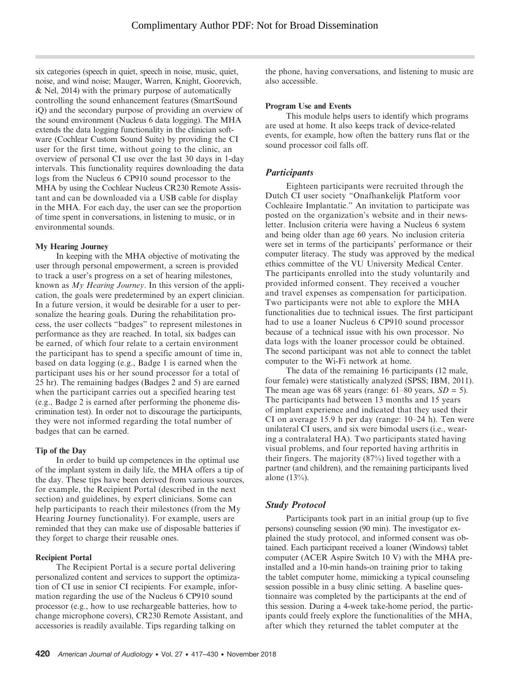six categories (speech in quiet, speech in noise, music, quiet, noise, and wind noise; Mauger, Warren, Knight, Goorevich, & Nel, 2014) with the primary purpose of automatically controlling the sound enhancement features (SmartSound iQ) and the secondary purpose of providing an overview of the sound environment (Nucleus 6 data logging). The MHA extends the data logging functionality in the clinician software (Cochlear Custom Sound Suite) by providing the CI user for the first time, without going to the clinic, an overview of personal CI use over the last 30 days in 1-day intervals. This functionality requires downloading the data logs from the Nucleus 6 CP910 sound processor to the MHA by using the Cochlear Nucleus CR230 Remote Assistant and can be downloaded via a USB cable for display in the MHA. For each day, the user can see the proportion of time spent in conversations, in listening to music, or in environmental sounds.

#### My Hearing Journey

In keeping with the MHA objective of motivating the user through personal empowerment, a screen is provided to track a user's progress on a set of hearing milestones, known as My Hearing Journey. In this version of the application, the goals were predetermined by an expert clinician. In a future version, it would be desirable for a user to personalize the hearing goals. During the rehabilitation process, the user collects "badges" to represent milestones in performance as they are reached. In total, six badges can be earned, of which four relate to a certain environment the participant has to spend a specific amount of time in, based on data logging (e.g., Badge 1 is earned when the participant uses his or her sound processor for a total of 25 hr). The remaining badges (Badges 2 and 5) are earned when the participant carries out a specified hearing test (e.g., Badge 2 is earned after performing the phoneme discrimination test). In order not to discourage the participants, they were not informed regarding the total number of badges that can be earned.

#### Tip of the Day

In order to build up competences in the optimal use of the implant system in daily life, the MHA offers a tip of the day. These tips have been derived from various sources, for example, the Recipient Portal (described in the next section) and guidelines, by expert clinicians. Some can help participants to reach their milestones (from the My Hearing Journey functionality). For example, users are reminded that they can make use of disposable batteries if they forget to charge their reusable ones.

## Recipient Portal

The Recipient Portal is a secure portal delivering personalized content and services to support the optimization of CI use in senior CI recipients. For example, information regarding the use of the Nucleus 6 CP910 sound processor (e.g., how to use rechargeable batteries, how to change microphone covers), CR230 Remote Assistant, and accessories is readily available. Tips regarding talking on

the phone, having conversations, and listening to music are also accessible.

#### Program Use and Events

This module helps users to identify which programs are used at home. It also keeps track of device-related events, for example, how often the battery runs flat or the sound processor coil falls off.

## **Participants**

Eighteen participants were recruited through the Dutch CI user society "Onafhankelijk Platform voor Cochleaire Implantatie." An invitation to participate was posted on the organization's website and in their newsletter. Inclusion criteria were having a Nucleus 6 system and being older than age 60 years. No inclusion criteria were set in terms of the participants' performance or their computer literacy. The study was approved by the medical ethics committee of the VU University Medical Center. The participants enrolled into the study voluntarily and provided informed consent. They received a voucher and travel expenses as compensation for participation. Two participants were not able to explore the MHA functionalities due to technical issues. The first participant had to use a loaner Nucleus 6 CP910 sound processor because of a technical issue with his own processor. No data logs with the loaner processor could be obtained. The second participant was not able to connect the tablet computer to the Wi-Fi network at home.

The data of the remaining 16 participants (12 male, four female) were statistically analyzed (SPSS; IBM, 2011). The mean age was 68 years (range:  $61-80$  years,  $SD = 5$ ). The participants had between 13 months and 15 years of implant experience and indicated that they used their CI on average 15.9 h per day (range: 10–24 h). Ten were unilateral CI users, and six were bimodal users (i.e., wearing a contralateral HA). Two participants stated having visual problems, and four reported having arthritis in their fingers. The majority (87%) lived together with a partner (and children), and the remaining participants lived alone (13%).

## Study Protocol

Participants took part in an initial group (up to five persons) counseling session (90 min). The investigator explained the study protocol, and informed consent was obtained. Each participant received a loaner (Windows) tablet computer (ACER Aspire Switch 10 V) with the MHA preinstalled and a 10-min hands-on training prior to taking the tablet computer home, mimicking a typical counseling session possible in a busy clinic setting. A baseline questionnaire was completed by the participants at the end of this session. During a 4-week take-home period, the participants could freely explore the functionalities of the MHA, after which they returned the tablet computer at the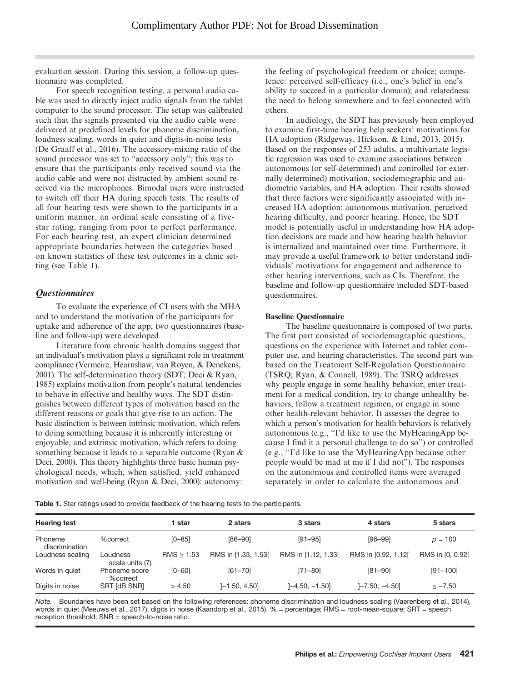evaluation session. During this session, a follow-up questionnaire was completed.

For speech recognition testing, a personal audio cable was used to directly inject audio signals from the tablet computer to the sound processor. The setup was calibrated such that the signals presented via the audio cable were delivered at predefined levels for phoneme discrimination, loudness scaling, words in quiet and digits-in-noise tests (De Graaff et al., 2016). The accessory-mixing ratio of the sound processor was set to "accessory only"; this was to ensure that the participants only received sound via the audio cable and were not distracted by ambient sound received via the microphones. Bimodal users were instructed to switch off their HA during speech tests. The results of all four hearing tests were shown to the participants in a uniform manner, an ordinal scale consisting of a fivestar rating, ranging from poor to perfect performance. For each hearing test, an expert clinician determined appropriate boundaries between the categories based on known statistics of these test outcomes in a clinic setting (see Table 1).

## **Questionnaires**

To evaluate the experience of CI users with the MHA and to understand the motivation of the participants for uptake and adherence of the app, two questionnaires (baseline and follow-up) were developed.

Literature from chronic health domains suggest that an individual's motivation plays a significant role in treatment compliance (Vermeire, Hearnshaw, van Royen, & Denekens, 2001). The self-determination theory (SDT; Deci & Ryan, 1985) explains motivation from people's natural tendencies to behave in effective and healthy ways. The SDT distinguishes between different types of motivation based on the different reasons or goals that give rise to an action. The basic distinction is between intrinsic motivation, which refers to doing something because it is inherently interesting or enjoyable, and extrinsic motivation, which refers to doing something because it leads to a separable outcome (Ryan & Deci, 2000). This theory highlights three basic human psychological needs, which, when satisfied, yield enhanced motivation and well-being (Ryan & Deci, 2000): autonomy:

the feeling of psychological freedom or choice; competence: perceived self-efficacy (i.e., one's belief in one's ability to succeed in a particular domain); and relatedness: the need to belong somewhere and to feel connected with others.

In audiology, the SDT has previously been employed to examine first-time hearing help seekers' motivations for HA adoption (Ridgeway, Hickson, & Lind, 2013, 2015). Based on the responses of 253 adults, a multivariate logistic regression was used to examine associations between autonomous (or self-determined) and controlled (or externally determined) motivation, sociodemographic and audiometric variables, and HA adoption. Their results showed that three factors were significantly associated with increased HA adoption: autonomous motivation, perceived hearing difficulty, and poorer hearing. Hence, the SDT model is potentially useful in understanding how HA adoption decisions are made and how hearing health behavior is internalized and maintained over time. Furthermore, it may provide a useful framework to better understand individuals' motivations for engagement and adherence to other hearing interventions, such as CIs. Therefore, the baseline and follow-up questionnaire included SDT-based questionnaires.

#### Baseline Questionnaire

The baseline questionnaire is composed of two parts. The first part consisted of sociodemographic questions, questions on the experience with Internet and tablet computer use, and hearing characteristics. The second part was based on the Treatment Self-Regulation Questionnaire (TSRQ; Ryan, & Connell, 1989). The TSRQ addresses why people engage in some healthy behavior, enter treatment for a medical condition, try to change unhealthy behaviors, follow a treatment regimen, or engage in some other health-relevant behavior. It assesses the degree to which a person's motivation for health behaviors is relatively autonomous (e.g., "I'd like to use the MyHearingApp because I find it a personal challenge to do so") or controlled (e.g., "I'd like to use the MyHearingApp because other people would be mad at me if I did not"). The responses on the autonomous and controlled items were averaged separately in order to calculate the autonomous and

Table 1. Star ratings used to provide feedback of the hearing tests to the participants.

| <b>Hearing test</b>       |                             | star       | 2 stars             | 3 stars             | 4 stars             | 5 stars          |
|---------------------------|-----------------------------|------------|---------------------|---------------------|---------------------|------------------|
| Phoneme<br>discrimination | %correct                    | $[0 - 85]$ | $[86 - 90]$         | $[91 - 95]$         | $[96 - 99]$         | $p = 100$        |
| Loudness scaling          | Loudness<br>scale units (7) | RMS > 1.53 | RMS in [1.33, 1.53] | RMS in [1.12, 1.33] | RMS in [0.92, 1.12] | RMS in [0, 0.92] |
| Words in quiet            | Phoneme score<br>%correct   | $[0 - 60]$ | $[61 - 70]$         | $[71 - 80]$         | $[81 - 90]$         | $[91 - 100]$     |
| Digits in noise           | SRT [dB SNR]                | > 4.50     | $]-1.50, 4.50]$     | $[-4.50, -1.50]$    | $[-7.50, -4.50]$    | $<-7.50$         |

Note. Boundaries have been set based on the following references: phoneme discrimination and loudness scaling (Vaerenberg et al., 2014), words in quiet (Meeuws et al., 2017), digits in noise (Kaandorp et al., 2015). % = percentage; RMS = root-mean-square; SRT = speech reception threshold; SNR = speech-to-noise ratio.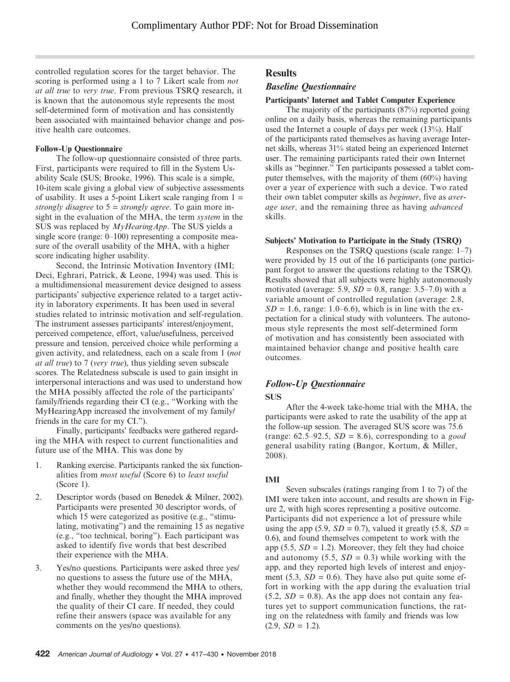controlled regulation scores for the target behavior. The scoring is performed using a 1 to 7 Likert scale from *not* at all true to very true. From previous TSRQ research, it is known that the autonomous style represents the most self-determined form of motivation and has consistently been associated with maintained behavior change and positive health care outcomes.

#### Follow-Up Questionnaire

The follow-up questionnaire consisted of three parts. First, participants were required to fill in the System Usability Scale (SUS; Brooke, 1996). This scale is a simple, 10-item scale giving a global view of subjective assessments of usability. It uses a 5-point Likert scale ranging from  $1 =$ strongly disagree to  $5 =$  strongly agree. To gain more insight in the evaluation of the MHA, the term *system* in the SUS was replaced by MyHearingApp. The SUS yields a single score (range: 0–100) representing a composite measure of the overall usability of the MHA, with a higher score indicating higher usability.

Second, the Intrinsic Motivation Inventory (IMI; Deci, Eghrari, Patrick, & Leone, 1994) was used. This is a multidimensional measurement device designed to assess participants' subjective experience related to a target activity in laboratory experiments. It has been used in several studies related to intrinsic motivation and self-regulation. The instrument assesses participants' interest/enjoyment, perceived competence, effort, value/usefulness, perceived pressure and tension, perceived choice while performing a given activity, and relatedness, each on a scale from 1 (not at all true) to 7 (very true), thus yielding seven subscale scores. The Relatedness subscale is used to gain insight in interpersonal interactions and was used to understand how the MHA possibly affected the role of the participants' family/friends regarding their CI (e.g., "Working with the MyHearingApp increased the involvement of my family/ friends in the care for my CI.").

Finally, participants' feedbacks were gathered regarding the MHA with respect to current functionalities and future use of the MHA. This was done by

- 1. Ranking exercise. Participants ranked the six functionalities from most useful (Score 6) to least useful (Score 1).
- 2. Descriptor words (based on Benedek & Milner, 2002). Participants were presented 30 descriptor words, of which 15 were categorized as positive (e.g., "stimulating, motivating") and the remaining 15 as negative (e.g., "too technical, boring"). Each participant was asked to identify five words that best described their experience with the MHA.
- 3. Yes/no questions. Participants were asked three yes/ no questions to assess the future use of the MHA, whether they would recommend the MHA to others, and finally, whether they thought the MHA improved the quality of their CI care. If needed, they could refine their answers (space was available for any comments on the yes/no questions).

## **Results**

## Baseline Questionnaire

#### Participants' Internet and Tablet Computer Experience

The majority of the participants (87%) reported going online on a daily basis, whereas the remaining participants used the Internet a couple of days per week (13%). Half of the participants rated themselves as having average Internet skills, whereas 31% stated being an experienced Internet user. The remaining participants rated their own Internet skills as "beginner." Ten participants possessed a tablet computer themselves, with the majority of them (60%) having over a year of experience with such a device. Two rated their own tablet computer skills as beginner, five as average user, and the remaining three as having advanced skills.

#### Subjects' Motivation to Participate in the Study (TSRQ)

Responses on the TSRQ questions (scale range: 1–7) were provided by 15 out of the 16 participants (one participant forgot to answer the questions relating to the TSRQ). Results showed that all subjects were highly autonomously motivated (average: 5.9,  $SD = 0.8$ , range: 3.5–7.0) with a variable amount of controlled regulation (average: 2.8,  $SD = 1.6$ , range: 1.0–6.6), which is in line with the expectation for a clinical study with volunteers. The autonomous style represents the most self-determined form of motivation and has consistently been associated with maintained behavior change and positive health care outcomes.

## Follow-Up Questionnaire

#### **SUS**

After the 4-week take-home trial with the MHA, the participants were asked to rate the usability of the app at the follow-up session. The averaged SUS score was 75.6 (range: 62.5–92.5,  $SD = 8.6$ ), corresponding to a good general usability rating (Bangor, Kortum, & Miller, 2008).

#### IMI

Seven subscales (ratings ranging from 1 to 7) of the IMI were taken into account, and results are shown in Figure 2, with high scores representing a positive outcome. Participants did not experience a lot of pressure while using the app (5.9,  $SD = 0.7$ ), valued it greatly (5.8,  $SD =$ 0.6), and found themselves competent to work with the app (5.5,  $SD = 1.2$ ). Moreover, they felt they had choice and autonomy  $(5.5, SD = 0.3)$  while working with the app, and they reported high levels of interest and enjoyment (5.3,  $SD = 0.6$ ). They have also put quite some effort in working with the app during the evaluation trial  $(5.2, SD = 0.8)$ . As the app does not contain any features yet to support communication functions, the rating on the relatedness with family and friends was low  $(2.9, SD = 1.2).$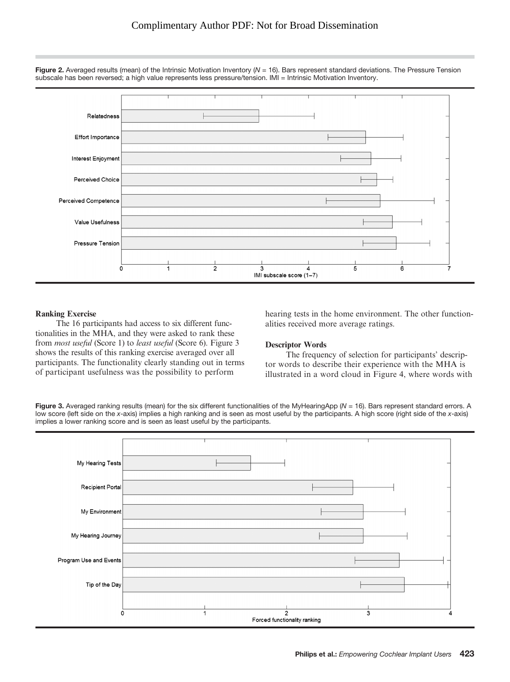

Figure 2. Averaged results (mean) of the Intrinsic Motivation Inventory ( $N = 16$ ). Bars represent standard deviations. The Pressure Tension subscale has been reversed; a high value represents less pressure/tension. IMI = Intrinsic Motivation Inventory.

## Ranking Exercise

The 16 participants had access to six different functionalities in the MHA, and they were asked to rank these from most useful (Score 1) to least useful (Score 6). Figure 3 shows the results of this ranking exercise averaged over all participants. The functionality clearly standing out in terms of participant usefulness was the possibility to perform

hearing tests in the home environment. The other functionalities received more average ratings.

#### Descriptor Words

The frequency of selection for participants' descriptor words to describe their experience with the MHA is illustrated in a word cloud in Figure 4, where words with

Figure 3. Averaged ranking results (mean) for the six different functionalities of the MyHearingApp ( $N = 16$ ). Bars represent standard errors. A low score (left side on the x-axis) implies a high ranking and is seen as most useful by the participants. A high score (right side of the x-axis) implies a lower ranking score and is seen as least useful by the participants.

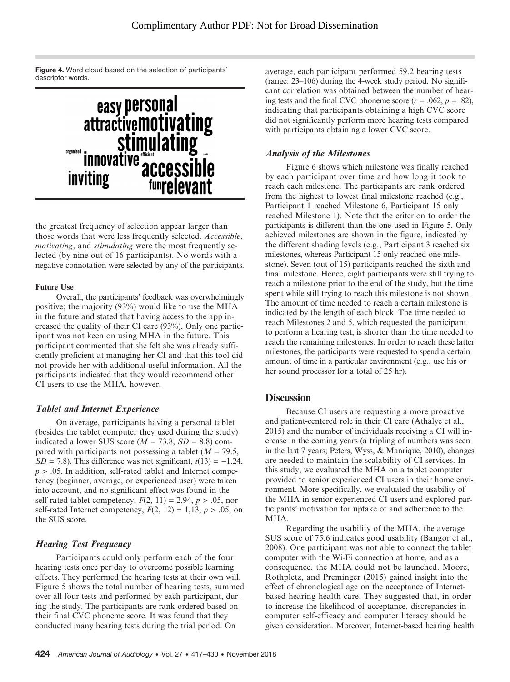Figure 4. Word cloud based on the selection of participants' descriptor words.



the greatest frequency of selection appear larger than those words that were less frequently selected. Accessible, motivating, and stimulating were the most frequently selected (by nine out of 16 participants). No words with a negative connotation were selected by any of the participants.

#### Future Use

Overall, the participants' feedback was overwhelmingly positive; the majority (93%) would like to use the MHA in the future and stated that having access to the app increased the quality of their CI care (93%). Only one participant was not keen on using MHA in the future. This participant commented that she felt she was already sufficiently proficient at managing her CI and that this tool did not provide her with additional useful information. All the participants indicated that they would recommend other CI users to use the MHA, however.

#### Tablet and Internet Experience

On average, participants having a personal tablet (besides the tablet computer they used during the study) indicated a lower SUS score ( $M = 73.8$ ,  $SD = 8.8$ ) compared with participants not possessing a tablet ( $M = 79.5$ ,  $SD = 7.8$ ). This difference was not significant,  $t(13) = -1.24$ ,  $p > .05$ . In addition, self-rated tablet and Internet competency (beginner, average, or experienced user) were taken into account, and no significant effect was found in the self-rated tablet competency,  $F(2, 11) = 2.94$ ,  $p > .05$ , nor self-rated Internet competency,  $F(2, 12) = 1,13, p > .05$ , on the SUS score.

## Hearing Test Frequency

Participants could only perform each of the four hearing tests once per day to overcome possible learning effects. They performed the hearing tests at their own will. Figure 5 shows the total number of hearing tests, summed over all four tests and performed by each participant, during the study. The participants are rank ordered based on their final CVC phoneme score. It was found that they conducted many hearing tests during the trial period. On

average, each participant performed 59.2 hearing tests (range: 23–106) during the 4-week study period. No significant correlation was obtained between the number of hearing tests and the final CVC phoneme score  $(r = .062, p = .82)$ , indicating that participants obtaining a high CVC score did not significantly perform more hearing tests compared with participants obtaining a lower CVC score.

## Analysis of the Milestones

Figure 6 shows which milestone was finally reached by each participant over time and how long it took to reach each milestone. The participants are rank ordered from the highest to lowest final milestone reached (e.g., Participant 1 reached Milestone 6, Participant 15 only reached Milestone 1). Note that the criterion to order the participants is different than the one used in Figure 5. Only achieved milestones are shown in the figure, indicated by the different shading levels (e.g., Participant 3 reached six milestones, whereas Participant 15 only reached one milestone). Seven (out of 15) participants reached the sixth and final milestone. Hence, eight participants were still trying to reach a milestone prior to the end of the study, but the time spent while still trying to reach this milestone is not shown. The amount of time needed to reach a certain milestone is indicated by the length of each block. The time needed to reach Milestones 2 and 5, which requested the participant to perform a hearing test, is shorter than the time needed to reach the remaining milestones. In order to reach these latter milestones, the participants were requested to spend a certain amount of time in a particular environment (e.g., use his or her sound processor for a total of 25 hr).

## **Discussion**

Because CI users are requesting a more proactive and patient-centered role in their CI care (Athalye et al., 2015) and the number of individuals receiving a CI will increase in the coming years (a tripling of numbers was seen in the last 7 years; Peters, Wyss, & Manrique, 2010), changes are needed to maintain the scalability of CI services. In this study, we evaluated the MHA on a tablet computer provided to senior experienced CI users in their home environment. More specifically, we evaluated the usability of the MHA in senior experienced CI users and explored participants' motivation for uptake of and adherence to the MHA.

Regarding the usability of the MHA, the average SUS score of 75.6 indicates good usability (Bangor et al., 2008). One participant was not able to connect the tablet computer with the Wi-Fi connection at home, and as a consequence, the MHA could not be launched. Moore, Rothpletz, and Preminger (2015) gained insight into the effect of chronological age on the acceptance of Internetbased hearing health care. They suggested that, in order to increase the likelihood of acceptance, discrepancies in computer self-efficacy and computer literacy should be given consideration. Moreover, Internet-based hearing health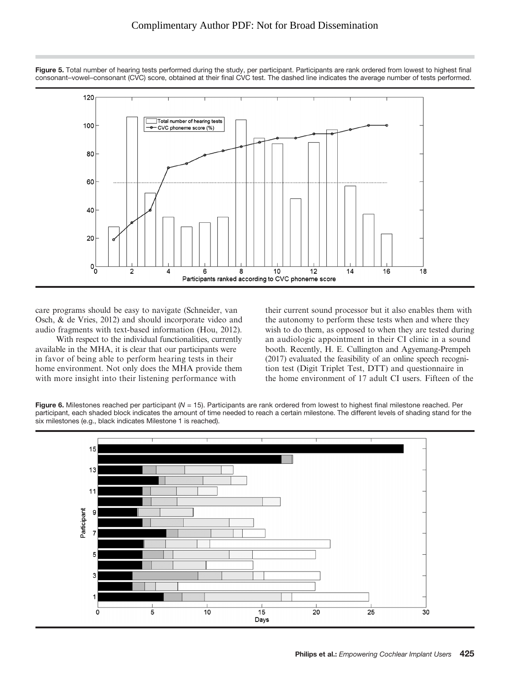

Figure 5. Total number of hearing tests performed during the study, per participant. Participants are rank ordered from lowest to highest final consonant–vowel–consonant (CVC) score, obtained at their final CVC test. The dashed line indicates the average number of tests performed.

care programs should be easy to navigate (Schneider, van Osch, & de Vries, 2012) and should incorporate video and audio fragments with text-based information (Hou, 2012).

With respect to the individual functionalities, currently available in the MHA, it is clear that our participants were in favor of being able to perform hearing tests in their home environment. Not only does the MHA provide them with more insight into their listening performance with

their current sound processor but it also enables them with the autonomy to perform these tests when and where they wish to do them, as opposed to when they are tested during an audiologic appointment in their CI clinic in a sound booth. Recently, H. E. Cullington and Agyemang-Prempeh (2017) evaluated the feasibility of an online speech recognition test (Digit Triplet Test, DTT) and questionnaire in the home environment of 17 adult CI users. Fifteen of the



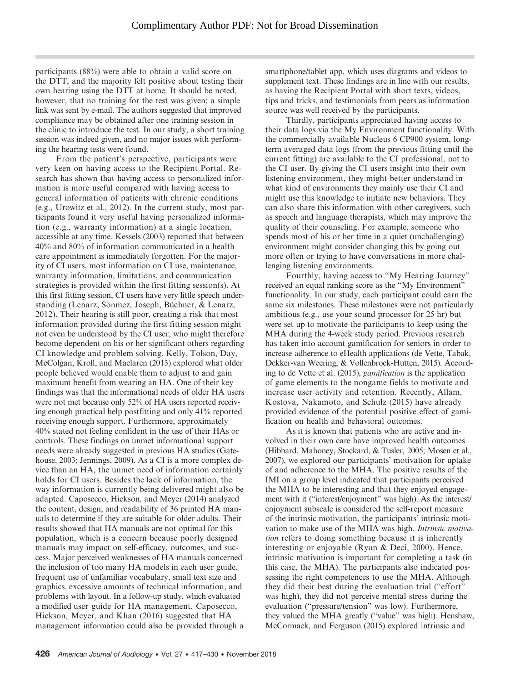participants (88%) were able to obtain a valid score on the DTT, and the majority felt positive about testing their own hearing using the DTT at home. It should be noted, however, that no training for the test was given; a simple link was sent by e-mail. The authors suggested that improved compliance may be obtained after one training session in the clinic to introduce the test. In our study, a short training session was indeed given, and no major issues with performing the hearing tests were found.

From the patient's perspective, participants were very keen on having access to the Recipient Portal. Research has shown that having access to personalized information is more useful compared with having access to general information of patients with chronic conditions (e.g., Urowitz et al., 2012). In the current study, most participants found it very useful having personalized information (e.g., warranty information) at a single location, accessible at any time. Kessels (2003) reported that between 40% and 80% of information communicated in a health care appointment is immediately forgotten. For the majority of CI users, most information on CI use, maintenance, warranty information, limitations, and communication strategies is provided within the first fitting session(s). At this first fitting session, CI users have very little speech understanding (Lenarz, Sönmez, Joseph, Büchner, & Lenarz, 2012). Their hearing is still poor, creating a risk that most information provided during the first fitting session might not even be understood by the CI user, who might therefore become dependent on his or her significant others regarding CI knowledge and problem solving. Kelly, Tolson, Day, McColgan, Kroll, and Maclaren (2013) explored what older people believed would enable them to adjust to and gain maximum benefit from wearing an HA. One of their key findings was that the informational needs of older HA users were not met because only 52% of HA users reported receiving enough practical help postfitting and only 41% reported receiving enough support. Furthermore, approximately 40% stated not feeling confident in the use of their HAs or controls. These findings on unmet informational support needs were already suggested in previous HA studies (Gatehouse, 2003; Jennings, 2009). As a CI is a more complex device than an HA, the unmet need of information certainly holds for CI users. Besides the lack of information, the way information is currently being delivered might also be adapted. Caposecco, Hickson, and Meyer (2014) analyzed the content, design, and readability of 36 printed HA manuals to determine if they are suitable for older adults. Their results showed that HA manuals are not optimal for this population, which is a concern because poorly designed manuals may impact on self-efficacy, outcomes, and success. Major perceived weaknesses of HA manuals concerned the inclusion of too many HA models in each user guide, frequent use of unfamiliar vocabulary, small text size and graphics, excessive amounts of technical information, and problems with layout. In a follow-up study, which evaluated a modified user guide for HA management, Caposecco, Hickson, Meyer, and Khan (2016) suggested that HA management information could also be provided through a

smartphone/tablet app, which uses diagrams and videos to supplement text. These findings are in line with our results, as having the Recipient Portal with short texts, videos, tips and tricks, and testimonials from peers as information source was well received by the participants.

Thirdly, participants appreciated having access to their data logs via the My Environment functionality. With the commercially available Nucleus 6 CP900 system, longterm averaged data logs (from the previous fitting until the current fitting) are available to the CI professional, not to the CI user. By giving the CI users insight into their own listening environment, they might better understand in what kind of environments they mainly use their CI and might use this knowledge to initiate new behaviors. They can also share this information with other caregivers, such as speech and language therapists, which may improve the quality of their counseling. For example, someone who spends most of his or her time in a quiet (unchallenging) environment might consider changing this by going out more often or trying to have conversations in more challenging listening environments.

Fourthly, having access to "My Hearing Journey" received an equal ranking score as the "My Environment" functionality. In our study, each participant could earn the same six milestones. These milestones were not particularly ambitious (e.g., use your sound processor for 25 hr) but were set up to motivate the participants to keep using the MHA during the 4-week study period. Previous research has taken into account gamification for seniors in order to increase adherence to eHealth applications (de Vette, Tabak, Dekker-van Weering, & Vollenbroek-Hutten, 2015). According to de Vette et al. (2015), gamification is the application of game elements to the nongame fields to motivate and increase user activity and retention. Recently, Allam, Kostova, Nakamoto, and Schulz (2015) have already provided evidence of the potential positive effect of gamification on health and behavioral outcomes.

As it is known that patients who are active and involved in their own care have improved health outcomes (Hibbard, Mahoney, Stockard, & Tusler, 2005; Mosen et al., 2007), we explored our participants' motivation for uptake of and adherence to the MHA. The positive results of the IMI on a group level indicated that participants perceived the MHA to be interesting and that they enjoyed engagement with it ("interest/enjoyment" was high). As the interest/ enjoyment subscale is considered the self-report measure of the intrinsic motivation, the participants' intrinsic motivation to make use of the MHA was high. Intrinsic motivation refers to doing something because it is inherently interesting or enjoyable (Ryan & Deci, 2000). Hence, intrinsic motivation is important for completing a task (in this case, the MHA). The participants also indicated possessing the right competences to use the MHA. Although they did their best during the evaluation trial ("effort" was high), they did not perceive mental stress during the evaluation ("pressure/tension" was low). Furthermore, they valued the MHA greatly ("value" was high). Henshaw, McCormack, and Ferguson (2015) explored intrinsic and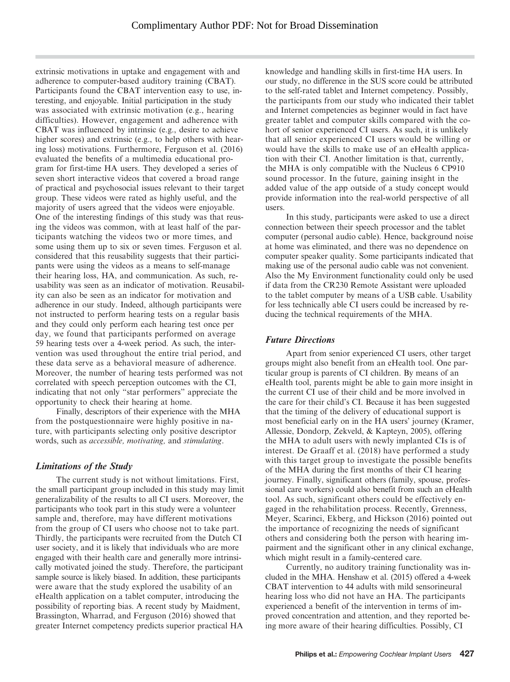extrinsic motivations in uptake and engagement with and adherence to computer-based auditory training (CBAT). Participants found the CBAT intervention easy to use, interesting, and enjoyable. Initial participation in the study was associated with extrinsic motivation (e.g., hearing difficulties). However, engagement and adherence with CBAT was influenced by intrinsic (e.g., desire to achieve higher scores) and extrinsic (e.g., to help others with hearing loss) motivations. Furthermore, Ferguson et al. (2016) evaluated the benefits of a multimedia educational program for first-time HA users. They developed a series of seven short interactive videos that covered a broad range of practical and psychosocial issues relevant to their target group. These videos were rated as highly useful, and the majority of users agreed that the videos were enjoyable. One of the interesting findings of this study was that reusing the videos was common, with at least half of the participants watching the videos two or more times, and some using them up to six or seven times. Ferguson et al. considered that this reusability suggests that their participants were using the videos as a means to self-manage their hearing loss, HA, and communication. As such, reusability was seen as an indicator of motivation. Reusability can also be seen as an indicator for motivation and adherence in our study. Indeed, although participants were not instructed to perform hearing tests on a regular basis and they could only perform each hearing test once per day, we found that participants performed on average 59 hearing tests over a 4-week period. As such, the intervention was used throughout the entire trial period, and these data serve as a behavioral measure of adherence. Moreover, the number of hearing tests performed was not correlated with speech perception outcomes with the CI, indicating that not only "star performers" appreciate the opportunity to check their hearing at home.

Finally, descriptors of their experience with the MHA from the postquestionnaire were highly positive in nature, with participants selecting only positive descriptor words, such as accessible, motivating, and stimulating.

## Limitations of the Study

The current study is not without limitations. First, the small participant group included in this study may limit generalizability of the results to all CI users. Moreover, the participants who took part in this study were a volunteer sample and, therefore, may have different motivations from the group of CI users who choose not to take part. Thirdly, the participants were recruited from the Dutch CI user society, and it is likely that individuals who are more engaged with their health care and generally more intrinsically motivated joined the study. Therefore, the participant sample source is likely biased. In addition, these participants were aware that the study explored the usability of an eHealth application on a tablet computer, introducing the possibility of reporting bias. A recent study by Maidment, Brassington, Wharrad, and Ferguson (2016) showed that greater Internet competency predicts superior practical HA

knowledge and handling skills in first-time HA users. In our study, no difference in the SUS score could be attributed to the self-rated tablet and Internet competency. Possibly, the participants from our study who indicated their tablet and Internet competencies as beginner would in fact have greater tablet and computer skills compared with the cohort of senior experienced CI users. As such, it is unlikely that all senior experienced CI users would be willing or would have the skills to make use of an eHealth application with their CI. Another limitation is that, currently, the MHA is only compatible with the Nucleus 6 CP910 sound processor. In the future, gaining insight in the added value of the app outside of a study concept would provide information into the real-world perspective of all users.

In this study, participants were asked to use a direct connection between their speech processor and the tablet computer (personal audio cable). Hence, background noise at home was eliminated, and there was no dependence on computer speaker quality. Some participants indicated that making use of the personal audio cable was not convenient. Also the My Environment functionality could only be used if data from the CR230 Remote Assistant were uploaded to the tablet computer by means of a USB cable. Usability for less technically able CI users could be increased by reducing the technical requirements of the MHA.

## Future Directions

Apart from senior experienced CI users, other target groups might also benefit from an eHealth tool. One particular group is parents of CI children. By means of an eHealth tool, parents might be able to gain more insight in the current CI use of their child and be more involved in the care for their child's CI. Because it has been suggested that the timing of the delivery of educational support is most beneficial early on in the HA users' journey (Kramer, Allessie, Dondorp, Zekveld, & Kapteyn, 2005), offering the MHA to adult users with newly implanted CIs is of interest. De Graaff et al. (2018) have performed a study with this target group to investigate the possible benefits of the MHA during the first months of their CI hearing journey. Finally, significant others (family, spouse, professional care workers) could also benefit from such an eHealth tool. As such, significant others could be effectively engaged in the rehabilitation process. Recently, Grenness, Meyer, Scarinci, Ekberg, and Hickson (2016) pointed out the importance of recognizing the needs of significant others and considering both the person with hearing impairment and the significant other in any clinical exchange, which might result in a family-centered care.

Currently, no auditory training functionality was included in the MHA. Henshaw et al. (2015) offered a 4-week CBAT intervention to 44 adults with mild sensorineural hearing loss who did not have an HA. The participants experienced a benefit of the intervention in terms of improved concentration and attention, and they reported being more aware of their hearing difficulties. Possibly, CI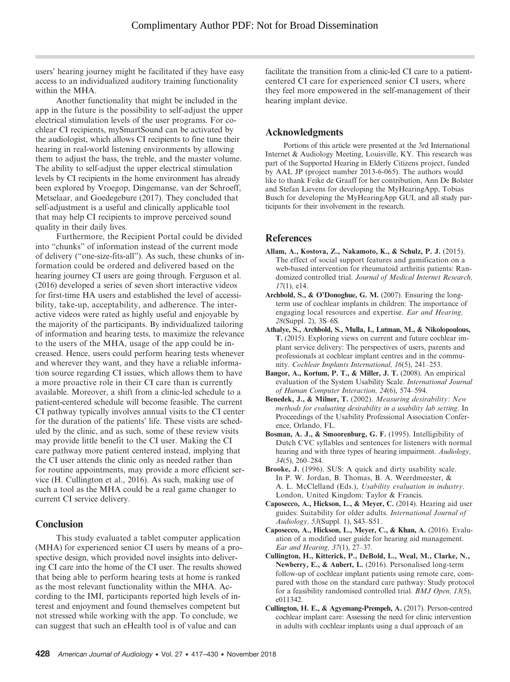users' hearing journey might be facilitated if they have easy access to an individualized auditory training functionality within the MHA.

Another functionality that might be included in the app in the future is the possibility to self-adjust the upper electrical stimulation levels of the user programs. For cochlear CI recipients, mySmartSound can be activated by the audiologist, which allows CI recipients to fine tune their hearing in real-world listening environments by allowing them to adjust the bass, the treble, and the master volume. The ability to self-adjust the upper electrical stimulation levels by CI recipients in the home environment has already been explored by Vroegop, Dingemanse, van der Schroeff, Metselaar, and Goedegebure (2017). They concluded that self-adjustment is a useful and clinically applicable tool that may help CI recipients to improve perceived sound quality in their daily lives.

Furthermore, the Recipient Portal could be divided into "chunks" of information instead of the current mode of delivery ("one-size-fits-all"). As such, these chunks of information could be ordered and delivered based on the hearing journey CI users are going through. Ferguson et al. (2016) developed a series of seven short interactive videos for first-time HA users and established the level of accessibility, take-up, acceptability, and adherence. The interactive videos were rated as highly useful and enjoyable by the majority of the participants. By individualized tailoring of information and hearing tests, to maximize the relevance to the users of the MHA, usage of the app could be increased. Hence, users could perform hearing tests whenever and wherever they want, and they have a reliable information source regarding CI issues, which allows them to have a more proactive role in their CI care than is currently available. Moreover, a shift from a clinic-led schedule to a patient-centered schedule will become feasible. The current CI pathway typically involves annual visits to the CI center for the duration of the patients' life. These visits are scheduled by the clinic, and as such, some of these review visits may provide little benefit to the CI user. Making the CI care pathway more patient centered instead, implying that the CI user attends the clinic only as needed rather than for routine appointments, may provide a more efficient service (H. Cullington et al., 2016). As such, making use of such a tool as the MHA could be a real game changer to current CI service delivery.

## **Conclusion**

This study evaluated a tablet computer application (MHA) for experienced senior CI users by means of a prospective design, which provided novel insights into delivering CI care into the home of the CI user. The results showed that being able to perform hearing tests at home is ranked as the most relevant functionality within the MHA. According to the IMI, participants reported high levels of interest and enjoyment and found themselves competent but not stressed while working with the app. To conclude, we can suggest that such an eHealth tool is of value and can

facilitate the transition from a clinic-led CI care to a patientcentered CI care for experienced senior CI users, where they feel more empowered in the self-management of their hearing implant device.

## Acknowledgments

Portions of this article were presented at the 3rd International Internet & Audiology Meeting, Louisville, KY. This research was part of the Supported Hearing in Elderly Citizens project, funded by AAL JP (project number 2013-6-065). The authors would like to thank Feike de Graaff for her contribution, Ann De Bolster and Stefan Lievens for developing the MyHearingApp, Tobias Busch for developing the MyHearingApp GUI, and all study participants for their involvement in the research.

## References

- Allam, A., Kostova, Z., Nakamoto, K., & Schulz, P. J. (2015). The effect of social support features and gamification on a web-based intervention for rheumatoid arthritis patients: Randomized controlled trial. Journal of Medical Internet Research, 17(1), e14.
- Archbold, S., & O'Donoghue, G. M. (2007). Ensuring the longterm use of cochlear implants in children: The importance of engaging local resources and expertise. Ear and Hearing, 28(Suppl. 2), 3S–6S.
- Athalye, S., Archbold, S., Mulla, I., Lutman, M., & Nikolopoulous, T. (2015). Exploring views on current and future cochlear implant service delivery: The perspectives of users, parents and professionals at cochlear implant centres and in the community. Cochlear Implants International, 16(5), 241–253.
- Bangor, A., Kortum, P. T., & Miller, J. T. (2008). An empirical evaluation of the System Usability Scale. International Journal of Human Computer Interaction, 24(6), 574–594.
- Benedek, J., & Milner, T. (2002). Measuring desirability: New methods for evaluating desirability in a usability lab setting. In Proceedings of the Usability Professional Association Conference, Orlando, FL.
- Bosman, A. J., & Smoorenburg, G. F. (1995). Intelligibility of Dutch CVC syllables and sentences for listeners with normal hearing and with three types of hearing impairment. Audiology, 34(5), 260–284.
- Brooke, J. (1996). SUS: A quick and dirty usability scale. In P. W. Jordan, B. Thomas, B. A. Weerdmeester, & A. L. McClelland (Eds.), Usability evaluation in industry. London, United Kingdom: Taylor & Francis.
- Caposecco, A., Hickson, L., & Meyer, C. (2014). Hearing aid user guides: Suitability for older adults. International Journal of Audiology, 53(Suppl. 1), S43–S51.
- Caposecco, A., Hickson, L., Meyer, C., & Khan, A. (2016). Evaluation of a modified user guide for hearing aid management. Ear and Hearing, 37(1), 27–37.
- Cullington, H., Kitterick, P., DeBold, L., Weal, M., Clarke, N., Newberry, E., & Aubert, L. (2016). Personalised long-term follow-up of cochlear implant patients using remote care, compared with those on the standard care pathway: Study protocol for a feasibility randomised controlled trial. BMJ Open, 13(5), e011342.
- Cullington, H. E., & Agyemang-Prempeh, A. (2017). Person-centred cochlear implant care: Assessing the need for clinic intervention in adults with cochlear implants using a dual approach of an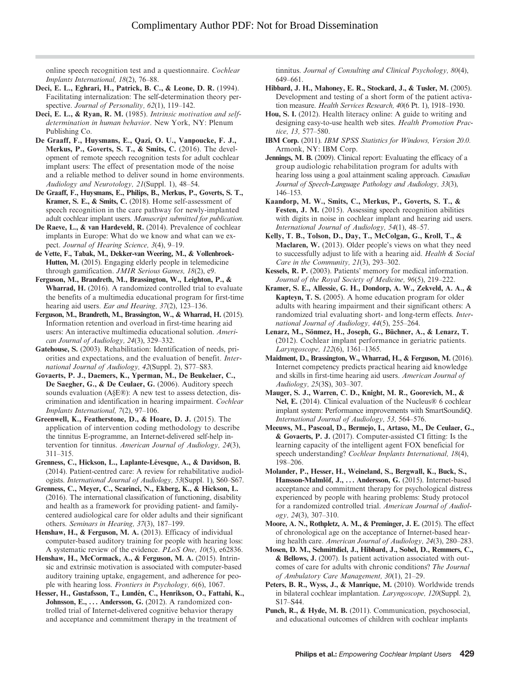online speech recognition test and a questionnaire. Cochlear Implants International, 18(2), 76–88.

- Deci, E. L., Eghrari, H., Patrick, B. C., & Leone, D. R. (1994). Facilitating internalization: The self-determination theory perspective. Journal of Personality, 62(1), 119-142.
- Deci, E. L., & Ryan, R. M. (1985). Intrinsic motivation and selfdetermination in human behavior. New York, NY: Plenum Publishing Co.
- De Graaff, F., Huysmans, E., Qazi, O. U., Vanpoucke, F. J., Merkus, P., Goverts, S. T., & Smits, C. (2016). The development of remote speech recognition tests for adult cochlear implant users: The effect of presentation mode of the noise and a reliable method to deliver sound in home environments. Audiology and Neurotology, 21(Suppl. 1), 48–54.
- De Graaff, F., Huysmans, E., Philips, B., Merkus, P., Goverts, S. T., Kramer, S. E., & Smits, C. (2018). Home self-assessment of speech recognition in the care pathway for newly-implanted adult cochlear implant users. Manuscript submitted for publication.
- De Raeve, L., & van Hardeveld, R. (2014). Prevalence of cochlear implants in Europe: What do we know and what can we expect. Journal of Hearing Science, 3(4), 9–19.
- de Vette, F., Tabak, M., Dekker-van Weering, M., & Vollenbroek-Hutten, M. (2015). Engaging elderly people in telemedicine through gamification. JMIR Serious Games, 18(2), e9.
- Ferguson, M., Brandreth, M., Brassington, W., Leighton, P., & Wharrad, H. (2016). A randomized controlled trial to evaluate the benefits of a multimedia educational program for first-time hearing aid users. Ear and Hearing, 37(2), 123-136.
- Ferguson, M., Brandreth, M., Brassington, W., & Wharrad, H. (2015). Information retention and overload in first-time hearing aid users: An interactive multimedia educational solution. American Journal of Audiology, 24(3), 329–332.
- Gatehouse, S. (2003). Rehabilitation: Identification of needs, priorities and expectations, and the evaluation of benefit. International Journal of Audiology, 42(Suppl. 2), S77–S83.
- Govaerts, P. J., Daemers, K., Yperman, M., De Beukelaer, C., De Saegher, G., & De Ceulaer, G. (2006). Auditory speech sounds evaluation (A§E®): A new test to assess detection, discrimination and identification in hearing impairment. Cochlear Implants International, 7(2), 97–106.
- Greenwell, K., Featherstone, D., & Hoare, D. J. (2015). The application of intervention coding methodology to describe the tinnitus E-programme, an Internet-delivered self-help intervention for tinnitus. American Journal of Audiology, 24(3), 311–315.
- Grenness, C., Hickson, L., Laplante-Lévesque, A., & Davidson, B. (2014). Patient-centred care: A review for rehabilitative audiologists. International Journal of Audiology, 53(Suppl. 1), S60–S67.
- Grenness, C., Meyer, C., Scarinci, N., Ekberg, K., & Hickson, L. (2016). The international classification of functioning, disability and health as a framework for providing patient- and familycentered audiological care for older adults and their significant others. Seminars in Hearing, 37(3), 187–199.
- Henshaw, H., & Ferguson, M. A. (2013). Efficacy of individual computer-based auditory training for people with hearing loss: A systematic review of the evidence. PLoS One, 10(5), e62836.
- Henshaw, H., McCormack, A., & Ferguson, M. A. (2015). Intrinsic and extrinsic motivation is associated with computer-based auditory training uptake, engagement, and adherence for people with hearing loss. Frontiers in Psychology, 6(6), 1067.
- Hesser, H., Gustafsson, T., Lundén, C., Henrikson, O., Fattahi, K., Johnsson, E., ... Andersson, G. (2012). A randomized controlled trial of Internet-delivered cognitive behavior therapy and acceptance and commitment therapy in the treatment of

tinnitus. Journal of Consulting and Clinical Psychology, 80(4), 649–661.

- Hibbard, J. H., Mahoney, E. R., Stockard, J., & Tusler, M. (2005). Development and testing of a short form of the patient activation measure. Health Services Research, 40(6 Pt. 1), 1918–1930.
- Hou, S. I. (2012). Health literacy online: A guide to writing and designing easy-to-use health web sites. Health Promotion Practice, 13, 577–580.
- IBM Corp. (2011). IBM SPSS Statistics for Windows, Version 20.0. Armonk, NY: IBM Corp.
- Jennings, M. B. (2009). Clinical report: Evaluating the efficacy of a group audiologic rehabilitation program for adults with hearing loss using a goal attainment scaling approach. Canadian Journal of Speech-Language Pathology and Audiology, 33(3), 146–153.
- Kaandorp, M. W., Smits, C., Merkus, P., Goverts, S. T., & Festen, J. M. (2015). Assessing speech recognition abilities with digits in noise in cochlear implant and hearing aid users. International Journal of Audiology, 54(1), 48–57.
- Kelly, T. B., Tolson, D., Day, T., McColgan, G., Kroll, T., & Maclaren, W. (2013). Older people's views on what they need to successfully adjust to life with a hearing aid. Health & Social Care in the Community, 21(3), 293–302.
- Kessels, R. P. (2003). Patients' memory for medical information. Journal of the Royal Society of Medicine, 96(5), 219–222.
- Kramer, S. E., Allessie, G. H., Dondorp, A. W., Zekveld, A. A., & Kapteyn, T. S. (2005). A home education program for older adults with hearing impairment and their significant others: A randomized trial evaluating short- and long-term effects. International Journal of Audiology, 44(5), 255–264.
- Lenarz, M., Sönmez, H., Joseph, G., Büchner, A., & Lenarz, T. (2012). Cochlear implant performance in geriatric patients. Laryngoscope, 122(6), 1361–1365.
- Maidment, D., Brassington, W., Wharrad, H., & Ferguson, M. (2016). Internet competency predicts practical hearing aid knowledge and skills in first-time hearing aid users. American Journal of Audiology, 25(3S), 303–307.
- Mauger, S. J., Warren, C. D., Knight, M. R., Goorevich, M., & Nel, E. (2014). Clinical evaluation of the Nucleus® 6 cochlear implant system: Performance improvements with SmartSoundiQ. International Journal of Audiology, 53, 564–576.
- Meeuws, M., Pascoal, D., Bermejo, I., Artaso, M., De Ceulaer, G., & Govaerts, P. J. (2017). Computer-assisted CI fitting: Is the learning capacity of the intelligent agent FOX beneficial for speech understanding? Cochlear Implants International, 18(4), 198–206.
- Molander, P., Hesser, H., Weineland, S., Bergwall, K., Buck, S., Hansson-Malmlöf, J., ... Andersson, G. (2015). Internet-based acceptance and commitment therapy for psychological distress experienced by people with hearing problems: Study protocol for a randomized controlled trial. American Journal of Audiology, 24(3), 307–310.
- Moore, A. N., Rothpletz, A. M., & Preminger, J. E. (2015). The effect of chronological age on the acceptance of Internet-based hearing health care. American Journal of Audiology, 24(3), 280–283.
- Mosen, D. M., Schmittdiel, J., Hibbard, J., Sobel, D., Remmers, C., & Bellows, J. (2007). Is patient activation associated with outcomes of care for adults with chronic conditions? The Journal of Ambulatory Care Management, 30(1), 21–29.
- Peters, B. R., Wyss, J., & Manrique, M. (2010). Worldwide trends in bilateral cochlear implantation. Laryngoscope, 120(Suppl. 2), S17–S44.
- Punch, R., & Hyde, M. B. (2011). Communication, psychosocial, and educational outcomes of children with cochlear implants